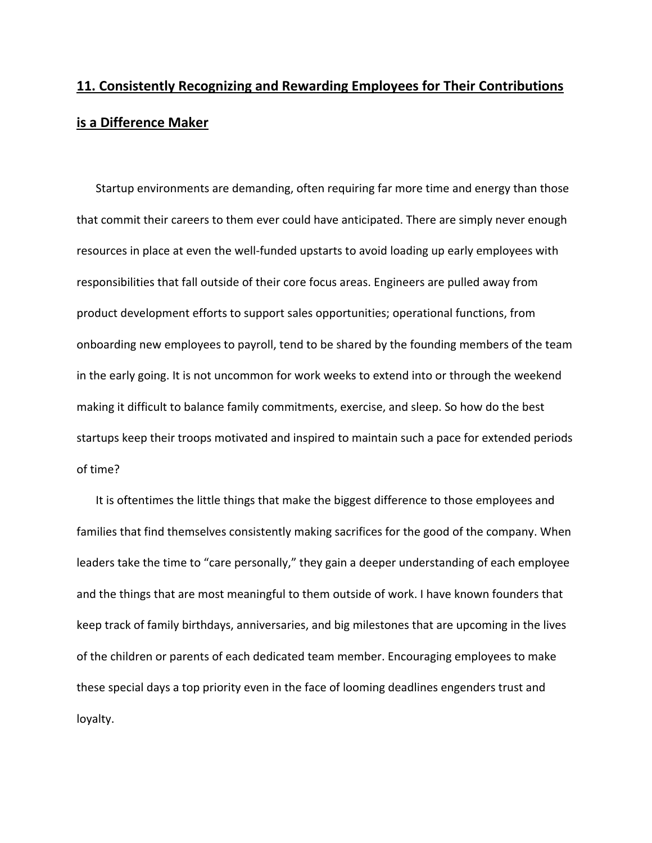## **11. Consistently Recognizing and Rewarding Employees for Their Contributions is a Difference Maker**

Startup environments are demanding, often requiring far more time and energy than those that commit their careers to them ever could have anticipated. There are simply never enough resources in place at even the well-funded upstarts to avoid loading up early employees with responsibilities that fall outside of their core focus areas. Engineers are pulled away from product development efforts to support sales opportunities; operational functions, from onboarding new employees to payroll, tend to be shared by the founding members of the team in the early going. It is not uncommon for work weeks to extend into or through the weekend making it difficult to balance family commitments, exercise, and sleep. So how do the best startups keep their troops motivated and inspired to maintain such a pace for extended periods of time?

It is oftentimes the little things that make the biggest difference to those employees and families that find themselves consistently making sacrifices for the good of the company. When leaders take the time to "care personally," they gain a deeper understanding of each employee and the things that are most meaningful to them outside of work. I have known founders that keep track of family birthdays, anniversaries, and big milestones that are upcoming in the lives of the children or parents of each dedicated team member. Encouraging employees to make these special days a top priority even in the face of looming deadlines engenders trust and loyalty.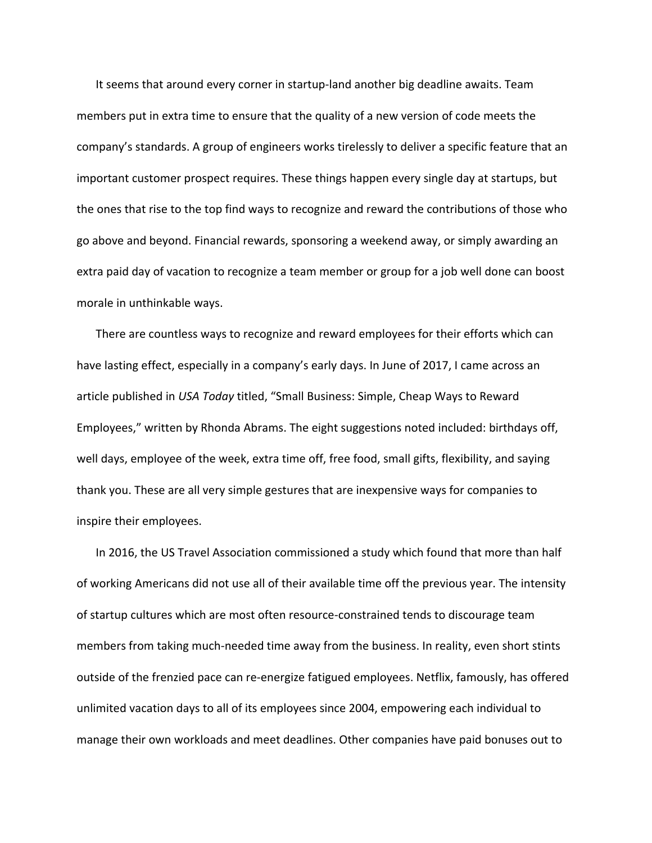It seems that around every corner in startup‐land another big deadline awaits. Team members put in extra time to ensure that the quality of a new version of code meets the company's standards. A group of engineers works tirelessly to deliver a specific feature that an important customer prospect requires. These things happen every single day at startups, but the ones that rise to the top find ways to recognize and reward the contributions of those who go above and beyond. Financial rewards, sponsoring a weekend away, or simply awarding an extra paid day of vacation to recognize a team member or group for a job well done can boost morale in unthinkable ways.

There are countless ways to recognize and reward employees for their efforts which can have lasting effect, especially in a company's early days. In June of 2017, I came across an article published in *USA Today* titled, "Small Business: Simple, Cheap Ways to Reward Employees," written by Rhonda Abrams. The eight suggestions noted included: birthdays off, well days, employee of the week, extra time off, free food, small gifts, flexibility, and saying thank you. These are all very simple gestures that are inexpensive ways for companies to inspire their employees.

In 2016, the US Travel Association commissioned a study which found that more than half of working Americans did not use all of their available time off the previous year. The intensity of startup cultures which are most often resource‐constrained tends to discourage team members from taking much‐needed time away from the business. In reality, even short stints outside of the frenzied pace can re‐energize fatigued employees. Netflix, famously, has offered unlimited vacation days to all of its employees since 2004, empowering each individual to manage their own workloads and meet deadlines. Other companies have paid bonuses out to